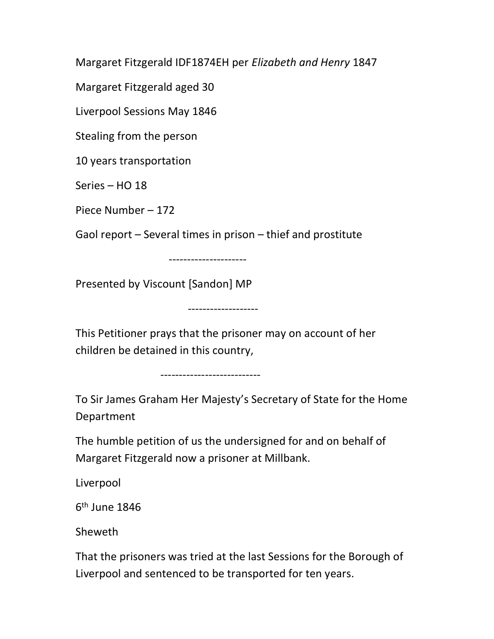Margaret Fitzgerald IDF1874EH per Elizabeth and Henry 1847

Margaret Fitzgerald aged 30

Liverpool Sessions May 1846

Stealing from the person

10 years transportation

Series – HO 18

Piece Number – 172

Gaol report – Several times in prison – thief and prostitute

---------------------

Presented by Viscount [Sandon] MP

This Petitioner prays that the prisoner may on account of her children be detained in this country,

-------------------

---------------------------

To Sir James Graham Her Majesty's Secretary of State for the Home Department

The humble petition of us the undersigned for and on behalf of Margaret Fitzgerald now a prisoner at Millbank.

Liverpool

6<sup>th</sup> June 1846

Sheweth

That the prisoners was tried at the last Sessions for the Borough of Liverpool and sentenced to be transported for ten years.